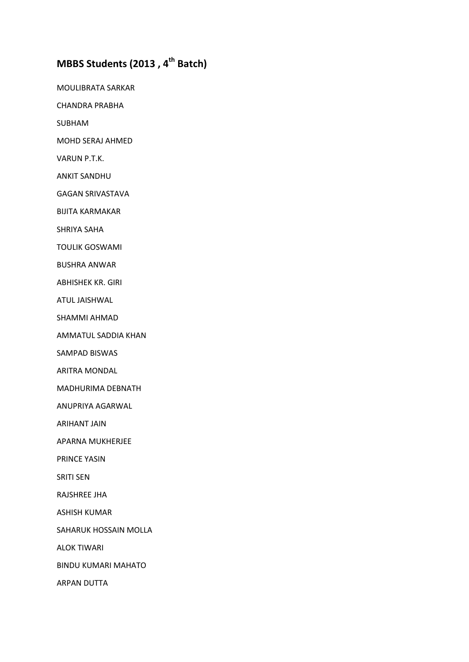## **MBBS Students (2013 , 4th Batch)**

MOULIBRATA SARKAR

CHANDRA PRABHA

SUBHAM

MOHD SERAJ AHMED

VARUN P.T.K.

ANKIT SANDHU

GAGAN SRIVASTAVA

BIJITA KARMAKAR

SHRIYA SAHA

TOULIK GOSWAMI

BUSHRA ANWAR

ABHISHEK KR. GIRI

ATUL JAISHWAL

SHAMMI AHMAD

AMMATUL SADDIA KHAN

SAMPAD BISWAS

ARITRA MONDAL

MADHURIMA DEBNATH

ANUPRIYA AGARWAL

ARIHANT JAIN

APARNA MUKHERJEE

PRINCE YASIN

SRITI SEN

RAJSHREE JHA

ASHISH KUMAR

SAHARUK HOSSAIN MOLLA

ALOK TIWARI

BINDU KUMARI MAHATO

ARPAN DUTTA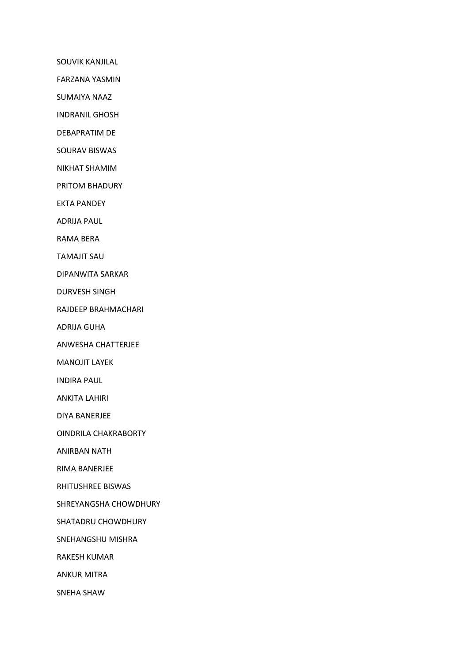SOUVIK KANJILAL

FARZANA YASMIN

SUMAIYA NAAZ

INDRANIL GHOSH

DEBAPRATIM DE

SOURAV BISWAS

NIKHAT SHAMIM

PRITOM BHADURY

EKTA PANDEY

ADRIJA PAUL

RAMA BERA

TAMAJIT SAU

DIPANWITA SARKAR

DURVESH SINGH

RAJDEEP BRAHMACHARI

ADRIJA GUHA

ANWESHA CHATTERJEE

MANOJIT LAYEK

INDIRA PAUL

ANKITA LAHIRI

DIYA BANERJEE

OINDRILA CHAKRABORTY

ANIRBAN NATH

RIMA BANERJEE

RHITUSHREE BISWAS

SHREYANGSHA CHOWDHURY

SHATADRU CHOWDHURY

SNEHANGSHU MISHRA

RAKESH KUMAR

ANKUR MITRA

SNEHA SHAW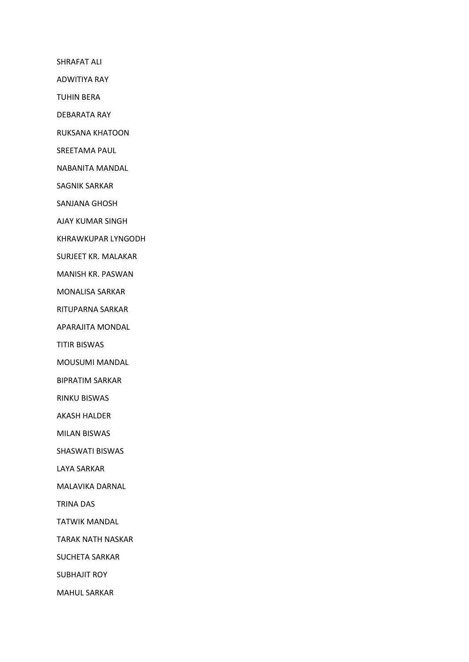SHRAFAT ALI

ADWITIYA RAY

TUHIN BERA

DEBARATA RAY

RUKSANA KHATOON

SREETAMA PAUL

NABANITA MANDAL

SAGNIK SARKAR

SANJANA GHOSH

AJAY KUMAR SINGH

KHRAWKUPAR LYNGODH

SURJEET KR. MALAKAR

MANISH KR. PASWAN

MONALISA SARKAR

RITUPARNA SARKAR

APARAJITA MONDAL

TITIR BISWAS

MOUSUMI MANDAL

BIPRATIM SARKAR

RINKU BISWAS

AKASH HALDER

MILAN BISWAS

SHASWATI BISWAS

LAYA SARKAR

MALAVIKA DARNAL

TRINA DAS

TATWIK MANDAL

TARAK NATH NASKAR

SUCHETA SARKAR

SUBHAJIT ROY

MAHUL SARKAR